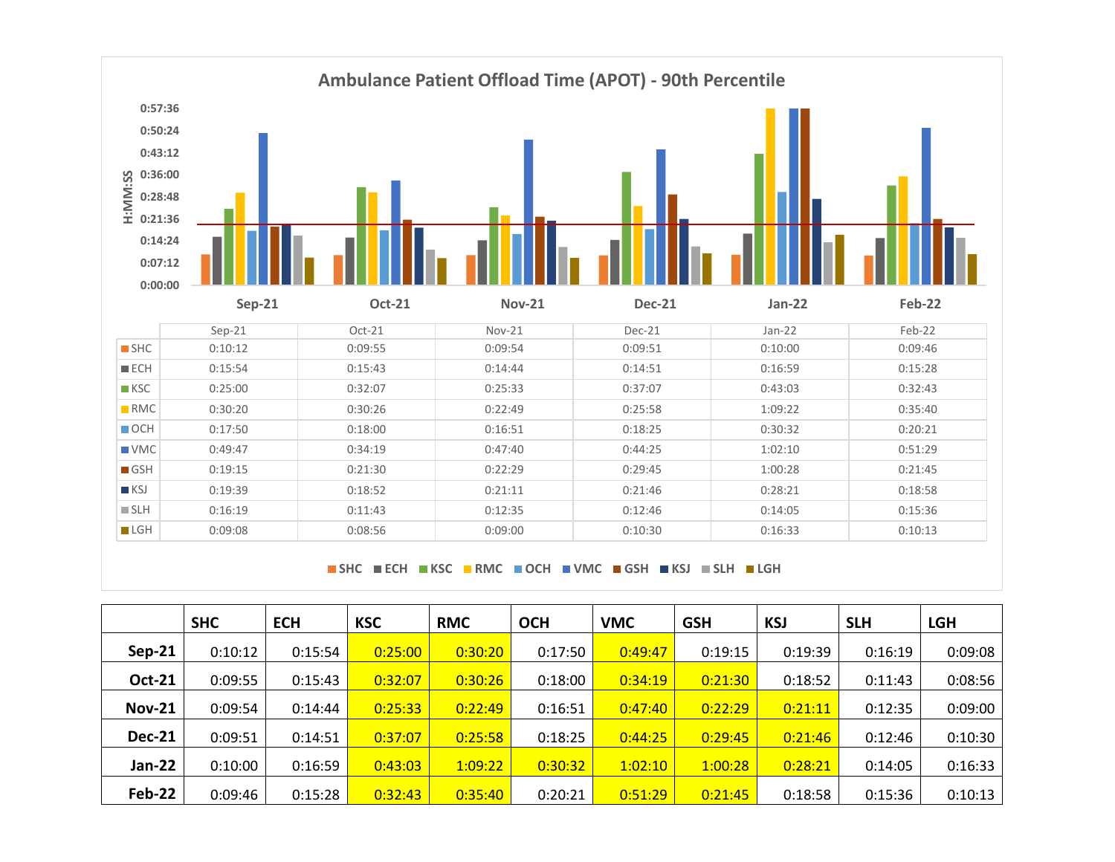

**SHC ECH KSC RMC OCH VMC GSH KSJ SLH LGH**

|               | <b>SHC</b> | <b>ECH</b> | <b>KSC</b> | <b>RMC</b> | <b>OCH</b> | <b>VMC</b> | <b>GSH</b> | <b>KSJ</b> | <b>SLH</b> | <b>LGH</b> |
|---------------|------------|------------|------------|------------|------------|------------|------------|------------|------------|------------|
| $Sep-21$      | 0:10:12    | 0:15:54    | 0:25:00    | 0:30:20    | 0:17:50    | 0:49:47    | 0:19:15    | 0:19:39    | 0:16:19    | 0:09:08    |
| <b>Oct-21</b> | 0:09:55    | 0:15:43    | 0:32:07    | 0:30:26    | 0:18:00    | 0:34:19    | 0:21:30    | 0:18:52    | 0:11:43    | 0:08:56    |
| <b>Nov-21</b> | 0:09:54    | 0:14:44    | 0:25:33    | 0:22:49    | 0:16:51    | 0:47:40    | 0:22:29    | 0:21:11    | 0:12:35    | 0:09:00    |
| <b>Dec-21</b> | 0:09:51    | 0:14:51    | 0:37:07    | 0:25:58    | 0:18:25    | 0:44:25    | 0:29:45    | 0:21:46    | 0:12:46    | 0:10:30    |
| Jan-22        | 0:10:00    | 0:16:59    | 0:43:03    | 1:09:22    | 0:30:32    | 1:02:10    | 1:00:28    | 0:28:21    | 0:14:05    | 0:16:33    |
| Feb-22        | 0:09:46    | 0:15:28    | 0:32:43    | 0:35:40    | 0:20:21    | 0:51:29    | 0:21:45    | 0:18:58    | 0:15:36    | 0:10:13    |